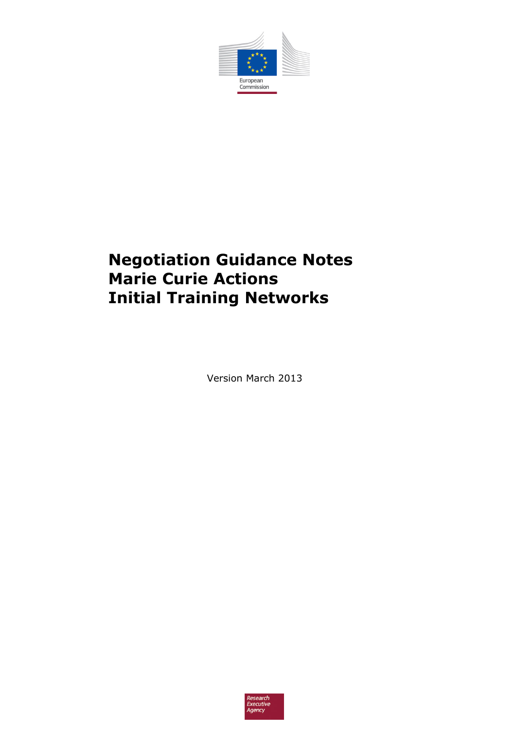

# **Negotiation Guidance Notes Marie Curie Actions Initial Training Networks**

Version March 2013

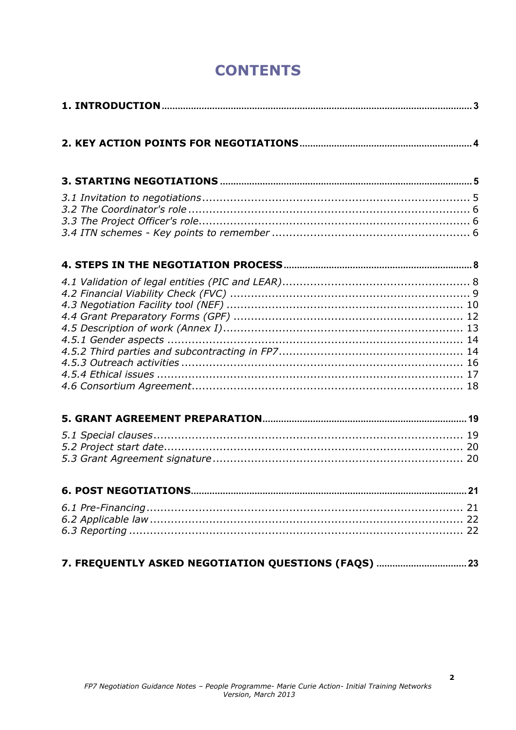# **CONTENTS**

| 7. FREQUENTLY ASKED NEGOTIATION QUESTIONS (FAQS)  23 |  |
|------------------------------------------------------|--|

 $\overline{\mathbf{2}}$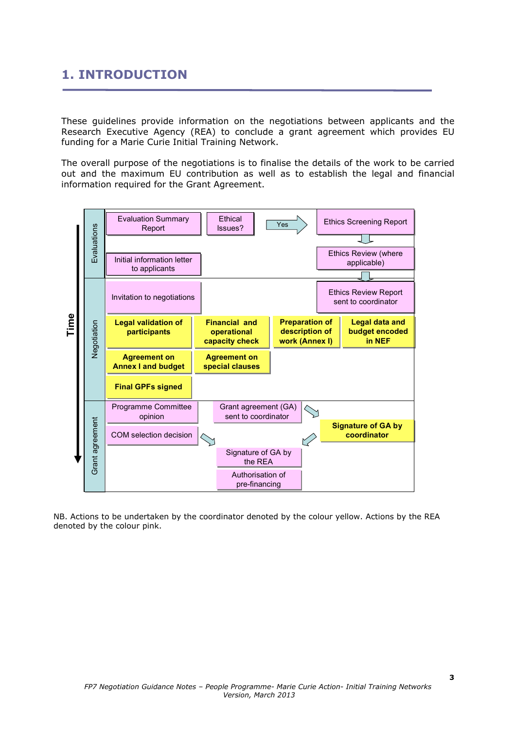## **1. INTRODUCTION**

These guidelines provide information on the negotiations between applicants and the Research Executive Agency (REA) to conclude a grant agreement which provides EU funding for a Marie Curie Initial Training Network.

The overall purpose of the negotiations is to finalise the details of the work to be carried out and the maximum EU contribution as well as to establish the legal and financial information required for the Grant Agreement.



NB. Actions to be undertaken by the coordinator denoted by the colour yellow. Actions by the REA denoted by the colour pink.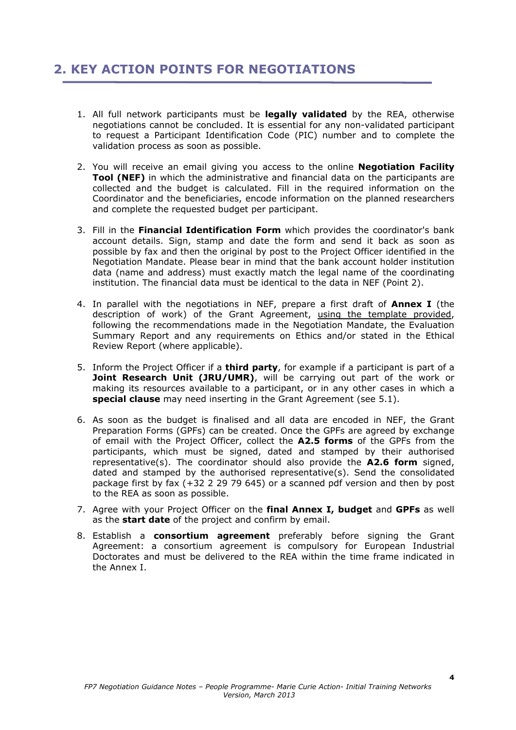## **2. KEY ACTION POINTS FOR NEGOTIATIONS**

- 1. All full network participants must be **legally validated** by the REA, otherwise negotiations cannot be concluded. It is essential for any non-validated participant to request a Participant Identification Code (PIC) number and to complete the validation process as soon as possible.
- 2. You will receive an email giving you access to the online **Negotiation Facility Tool (NEF)** in which the administrative and financial data on the participants are collected and the budget is calculated. Fill in the required information on the Coordinator and the beneficiaries, encode information on the planned researchers and complete the requested budget per participant.
- 3. Fill in the **Financial Identification Form** which provides the coordinator's bank account details. Sign, stamp and date the form and send it back as soon as possible by fax and then the original by post to the Project Officer identified in the Negotiation Mandate. Please bear in mind that the bank account holder institution data (name and address) must exactly match the legal name of the coordinating institution. The financial data must be identical to the data in NEF (Point 2).
- 4. In parallel with the negotiations in NEF, prepare a first draft of **Annex I** (the description of work) of the Grant Agreement, using the template provided, following the recommendations made in the Negotiation Mandate, the Evaluation Summary Report and any requirements on Ethics and/or stated in the Ethical Review Report (where applicable).
- 5. Inform the Project Officer if a **third party**, for example if a participant is part of a **Joint Research Unit (JRU/UMR)**, will be carrying out part of the work or making its resources available to a participant, or in any other cases in which a **special clause** may need inserting in the Grant Agreement (see 5.1).
- 6. As soon as the budget is finalised and all data are encoded in NEF, the Grant Preparation Forms (GPFs) can be created. Once the GPFs are agreed by exchange of email with the Project Officer, collect the **A2.5 forms** of the GPFs from the participants, which must be signed, dated and stamped by their authorised representative(s). The coordinator should also provide the **A2.6 form** signed, dated and stamped by the authorised representative(s). Send the consolidated package first by fax (+32 2 29 79 645) or a scanned pdf version and then by post to the REA as soon as possible.
- 7. Agree with your Project Officer on the **final Annex I, budget** and **GPFs** as well as the **start date** of the project and confirm by email.
- 8. Establish a **consortium agreement** preferably before signing the Grant Agreement: a consortium agreement is compulsory for European Industrial Doctorates and must be delivered to the REA within the time frame indicated in the Annex I.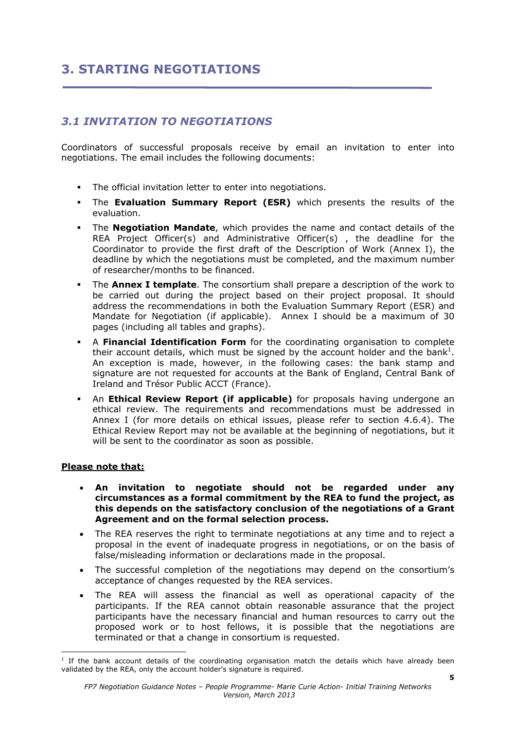## **3. STARTING NEGOTIATIONS**

## *3.1 INVITATION TO NEGOTIATIONS*

Coordinators of successful proposals receive by email an invitation to enter into negotiations. The email includes the following documents:

- The official invitation letter to enter into negotiations.
- The **Evaluation Summary Report (ESR)** which presents the results of the evaluation.
- The **Negotiation Mandate**, which provides the name and contact details of the REA Project Officer(s) and Administrative Officer(s) , the deadline for the Coordinator to provide the first draft of the Description of Work (Annex I), the deadline by which the negotiations must be completed, and the maximum number of researcher/months to be financed.
- The **Annex I template**. The consortium shall prepare a description of the work to be carried out during the project based on their project proposal. It should address the recommendations in both the Evaluation Summary Report (ESR) and Mandate for Negotiation (if applicable). Annex I should be a maximum of 30 pages (including all tables and graphs).
- A **Financial Identification Form** for the coordinating organisation to complete their account details, which must be signed by the account holder and the bank<sup>1</sup>. An exception is made, however, in the following cases: the bank stamp and signature are not requested for accounts at the Bank of England, Central Bank of Ireland and Trésor Public ACCT (France).
- An **Ethical Review Report (if applicable)** for proposals having undergone an ethical review. The requirements and recommendations must be addressed in Annex I (for more details on ethical issues, please refer to section 4.6.4). The Ethical Review Report may not be available at the beginning of negotiations, but it will be sent to the coordinator as soon as possible.

#### **Please note that:**

- **An invitation to negotiate should not be regarded under any circumstances as a formal commitment by the REA to fund the project, as this depends on the satisfactory conclusion of the negotiations of a Grant Agreement and on the formal selection process.**
- The REA reserves the right to terminate negotiations at any time and to reject a proposal in the event of inadequate progress in negotiations, or on the basis of false/misleading information or declarations made in the proposal.
- The successful completion of the negotiations may depend on the consortium's acceptance of changes requested by the REA services.
- The REA will assess the financial as well as operational capacity of the participants. If the REA cannot obtain reasonable assurance that the project participants have the necessary financial and human resources to carry out the proposed work or to host fellows, it is possible that the negotiations are terminated or that a change in consortium is requested.

<sup>1</sup> If the bank account details of the coordinating organisation match the details which have already been validated by the REA, only the account holder's signature is required.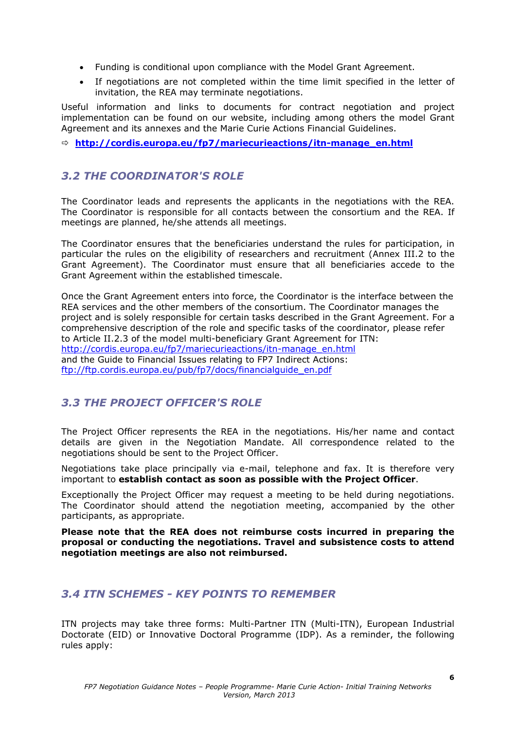- Funding is conditional upon compliance with the Model Grant Agreement.
- If negotiations are not completed within the time limit specified in the letter of invitation, the REA may terminate negotiations.

Useful information and links to documents for contract negotiation and project implementation can be found on our website, including among others the model Grant Agreement and its annexes and the Marie Curie Actions Financial Guidelines.

Ö **http://cordis.europa.eu/fp7/mariecurieactions/itn-manage\_en.html**

### *3.2 THE COORDINATOR'S ROLE*

The Coordinator leads and represents the applicants in the negotiations with the REA. The Coordinator is responsible for all contacts between the consortium and the REA. If meetings are planned, he/she attends all meetings.

The Coordinator ensures that the beneficiaries understand the rules for participation, in particular the rules on the eligibility of researchers and recruitment (Annex III.2 to the Grant Agreement). The Coordinator must ensure that all beneficiaries accede to the Grant Agreement within the established timescale.

Once the Grant Agreement enters into force, the Coordinator is the interface between the REA services and the other members of the consortium. The Coordinator manages the project and is solely responsible for certain tasks described in the Grant Agreement. For a comprehensive description of the role and specific tasks of the coordinator, please refer to Article II.2.3 of the model multi-beneficiary Grant Agreement for ITN: http://cordis.europa.eu/fp7/mariecurieactions/itn-manage\_en.html and the Guide to Financial Issues relating to FP7 Indirect Actions: ftp://ftp.cordis.europa.eu/pub/fp7/docs/financialguide\_en.pdf

## *3.3 THE PROJECT OFFICER'S ROLE*

The Project Officer represents the REA in the negotiations. His/her name and contact details are given in the Negotiation Mandate. All correspondence related to the negotiations should be sent to the Project Officer.

Negotiations take place principally via e-mail, telephone and fax. It is therefore very important to **establish contact as soon as possible with the Project Officer**.

Exceptionally the Project Officer may request a meeting to be held during negotiations. The Coordinator should attend the negotiation meeting, accompanied by the other participants, as appropriate.

**Please note that the REA does not reimburse costs incurred in preparing the proposal or conducting the negotiations. Travel and subsistence costs to attend negotiation meetings are also not reimbursed.** 

### *3.4 ITN SCHEMES - KEY POINTS TO REMEMBER*

ITN projects may take three forms: Multi-Partner ITN (Multi-ITN), European Industrial Doctorate (EID) or Innovative Doctoral Programme (IDP). As a reminder, the following rules apply: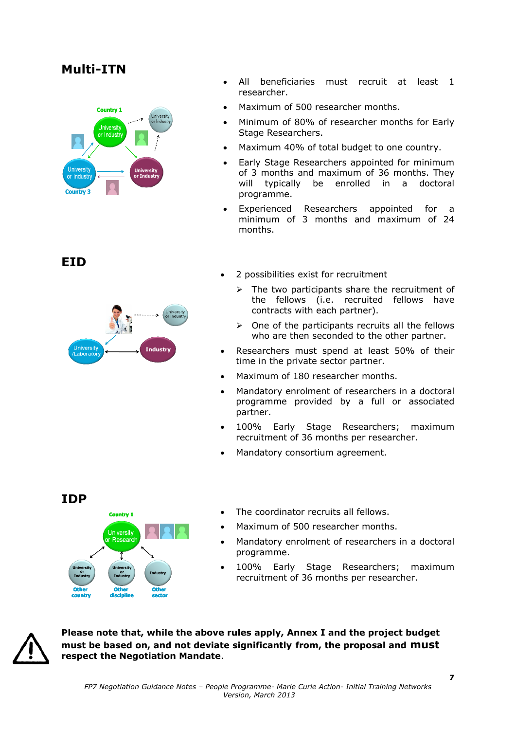## **Multi-ITN**



- All beneficiaries must recruit at least 1 researcher.
- Maximum of 500 researcher months.
- Minimum of 80% of researcher months for Early Stage Researchers.
- Maximum 40% of total budget to one country.
- Early Stage Researchers appointed for minimum of 3 months and maximum of 36 months. They will typically be enrolled in a doctoral programme.
- Experienced Researchers appointed for a minimum of 3 months and maximum of 24 months.

**EID** 



- 2 possibilities exist for recruitment
	- $\triangleright$  The two participants share the recruitment of the fellows (i.e. recruited fellows have contracts with each partner).
	- $\triangleright$  One of the participants recruits all the fellows who are then seconded to the other partner.
- Researchers must spend at least 50% of their time in the private sector partner.
- Maximum of 180 researcher months.
- Mandatory enrolment of researchers in a doctoral programme provided by a full or associated partner.
- 100% Early Stage Researchers; maximum recruitment of 36 months per researcher.
- Mandatory consortium agreement.



- The coordinator recruits all fellows
- Maximum of 500 researcher months.
- Mandatory enrolment of researchers in a doctoral programme.
- 100% Early Stage Researchers; maximum recruitment of 36 months per researcher.



**Please note that, while the above rules apply, Annex I and the project budget must be based on, and not deviate significantly from, the proposal and must respect the Negotiation Mandate**.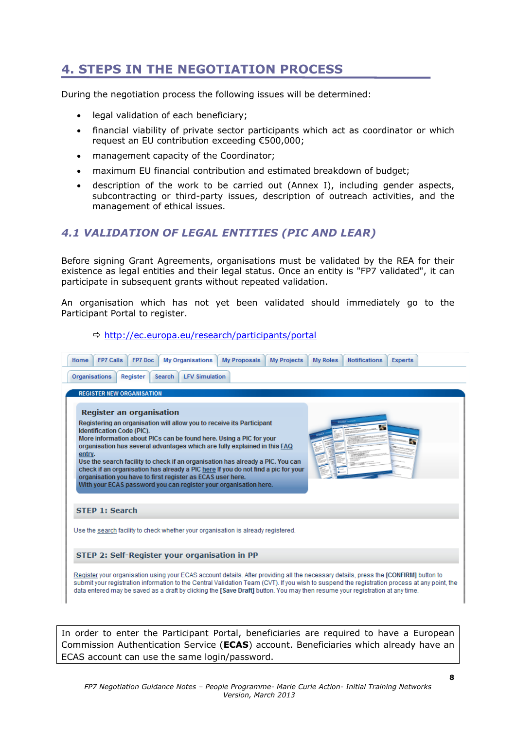## **4. STEPS IN THE NEGOTIATION PROCESS**

During the negotiation process the following issues will be determined:

- legal validation of each beneficiary;
- financial viability of private sector participants which act as coordinator or which request an EU contribution exceeding €500,000;
- management capacity of the Coordinator;
- maximum EU financial contribution and estimated breakdown of budget;
- description of the work to be carried out (Annex I), including gender aspects, subcontracting or third-party issues, description of outreach activities, and the management of ethical issues.

## *4.1 VALIDATION OF LEGAL ENTITIES (PIC AND LEAR)*

 $\Rightarrow$  http://ec.europa.eu/research/participants/portal

Before signing Grant Agreements, organisations must be validated by the REA for their existence as legal entities and their legal status. Once an entity is "FP7 validated", it can participate in subsequent grants without repeated validation.

An organisation which has not yet been validated should immediately go to the Participant Portal to register.

| <b>Organisations</b>             | Register | <b>LFV Simulation</b><br>Search                                                                                                                                                                                                                                                      |  |  |  |
|----------------------------------|----------|--------------------------------------------------------------------------------------------------------------------------------------------------------------------------------------------------------------------------------------------------------------------------------------|--|--|--|
| <b>REGISTER NEW ORGANISATION</b> |          |                                                                                                                                                                                                                                                                                      |  |  |  |
|                                  |          |                                                                                                                                                                                                                                                                                      |  |  |  |
| <b>Register an organisation</b>  |          |                                                                                                                                                                                                                                                                                      |  |  |  |
| Identification Code (PIC).       |          | Registering an organisation will allow you to receive its Participant                                                                                                                                                                                                                |  |  |  |
|                                  |          | More information about PICs can be found here. Using a PIC for your                                                                                                                                                                                                                  |  |  |  |
|                                  |          | organisation has several advantages which are fully explained in this FAQ                                                                                                                                                                                                            |  |  |  |
| entry.                           |          | Use the search facility to check if an organisation has already a PIC. You can                                                                                                                                                                                                       |  |  |  |
|                                  |          |                                                                                                                                                                                                                                                                                      |  |  |  |
|                                  |          | check if an organisation has already a PIC here If you do not find a pic for your                                                                                                                                                                                                    |  |  |  |
|                                  |          | organisation you have to first register as ECAS user here.                                                                                                                                                                                                                           |  |  |  |
|                                  |          | With your ECAS password you can register your organisation here.                                                                                                                                                                                                                     |  |  |  |
|                                  |          |                                                                                                                                                                                                                                                                                      |  |  |  |
| <b>STEP 1: Search</b>            |          |                                                                                                                                                                                                                                                                                      |  |  |  |
|                                  |          |                                                                                                                                                                                                                                                                                      |  |  |  |
|                                  |          | Use the search facility to check whether your organisation is already registered.                                                                                                                                                                                                    |  |  |  |
|                                  |          |                                                                                                                                                                                                                                                                                      |  |  |  |
|                                  |          | STEP 2: Self-Register your organisation in PP                                                                                                                                                                                                                                        |  |  |  |
|                                  |          |                                                                                                                                                                                                                                                                                      |  |  |  |
|                                  |          | Register your organisation using your ECAS account details. After providing all the necessary details, press the [CONFIRM] button to<br>submit your registration information to the Central Validation Team (CVT). If you wish to suspend the registration process at any point, the |  |  |  |

In order to enter the Participant Portal, beneficiaries are required to have a European Commission Authentication Service (**ECAS**) account. Beneficiaries which already have an ECAS account can use the same login/password.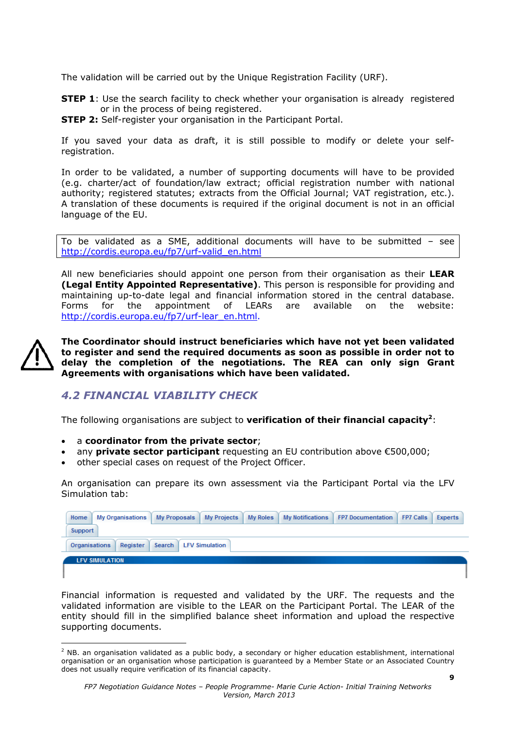The validation will be carried out by the Unique Registration Facility (URF).

**STEP 1**: Use the search facility to check whether your organisation is already registered or in the process of being registered.

**STEP 2:** Self-register your organisation in the Participant Portal.

If you saved your data as draft, it is still possible to modify or delete your selfregistration.

In order to be validated, a number of supporting documents will have to be provided (e.g. charter/act of foundation/law extract; official registration number with national authority; registered statutes; extracts from the Official Journal; VAT registration, etc.). A translation of these documents is required if the original document is not in an official language of the EU.

To be validated as a SME, additional documents will have to be submitted – see http://cordis.europa.eu/fp7/urf-valid\_en.html

All new beneficiaries should appoint one person from their organisation as their **LEAR (Legal Entity Appointed Representative)**. This person is responsible for providing and maintaining up-to-date legal and financial information stored in the central database. Forms for the appointment of LEARs are available on the website: http://cordis.europa.eu/fp7/urf-lear\_en.html.



**The Coordinator should instruct beneficiaries which have not yet been validated to register and send the required documents as soon as possible in order not to delay the completion of the negotiations. The REA can only sign Grant Agreements with organisations which have been validated.** 

## *4.2 FINANCIAL VIABILITY CHECK*

The following organisations are subject to **verification of their financial capacity2**:

- a **coordinator from the private sector**;
- any **private sector participant** requesting an EU contribution above €500,000;
- other special cases on request of the Project Officer.

An organisation can prepare its own assessment via the Participant Portal via the LFV Simulation tab:

| Home<br><b>My Organisations</b>  |        |                       |  | My Proposals My Projects My Roles My Notifications FP7 Documentation FP7 Calls | Experts |
|----------------------------------|--------|-----------------------|--|--------------------------------------------------------------------------------|---------|
| Support                          |        |                       |  |                                                                                |         |
| Register<br><b>Organisations</b> | Search | <b>LFV Simulation</b> |  |                                                                                |         |
| <b>LFV SIMULATION</b>            |        |                       |  |                                                                                |         |
|                                  |        |                       |  |                                                                                |         |

Financial information is requested and validated by the URF. The requests and the validated information are visible to the LEAR on the Participant Portal. The LEAR of the entity should fill in the simplified balance sheet information and upload the respective supporting documents.

<sup>1</sup> <sup>2</sup> NB. an organisation validated as a public body, a secondary or higher education establishment, international organisation or an organisation whose participation is guaranteed by a Member State or an Associated Country does not usually require verification of its financial capacity.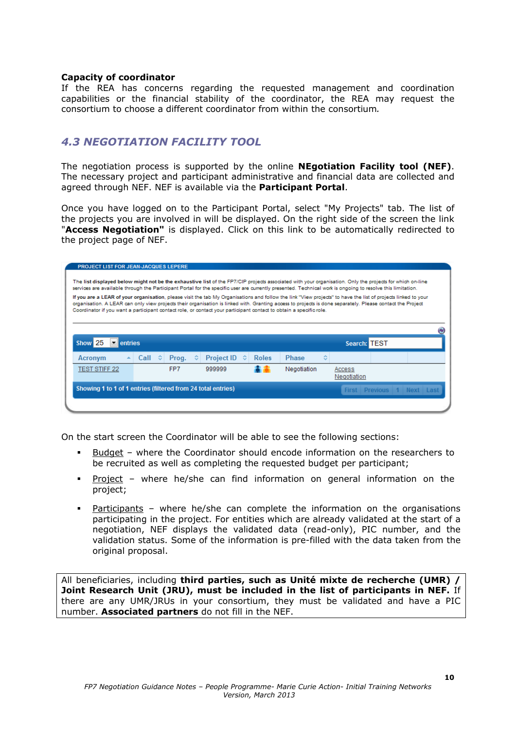#### **Capacity of coordinator**

If the REA has concerns regarding the requested management and coordination capabilities or the financial stability of the coordinator, the REA may request the consortium to choose a different coordinator from within the consortium*.* 

### *4.3 NEGOTIATION FACILITY TOOL*

The negotiation process is supported by the online **NEgotiation Facility tool (NEF)**. The necessary project and participant administrative and financial data are collected and agreed through NEF. NEF is available via the **Participant Portal**.

Once you have logged on to the Participant Portal, select "My Projects" tab. The list of the projects you are involved in will be displayed. On the right side of the screen the link "**Access Negotiation"** is displayed. Click on this link to be automatically redirected to the project page of NEF.

|                                                                                                                                                                                                                                                                                                                                                                                                                                                                                                                                                                                                                |  |                 | <b>PROJECT LIST FOR JEAN-JACQUES LEPERE</b> | The list displayed below might not be the exhaustive list of the FP7/CIP projects associated with your organisation. Only the projects for which on-line |              |              |   |                       |                            |
|----------------------------------------------------------------------------------------------------------------------------------------------------------------------------------------------------------------------------------------------------------------------------------------------------------------------------------------------------------------------------------------------------------------------------------------------------------------------------------------------------------------------------------------------------------------------------------------------------------------|--|-----------------|---------------------------------------------|----------------------------------------------------------------------------------------------------------------------------------------------------------|--------------|--------------|---|-----------------------|----------------------------|
| services are available through the Participant Portal for the specific user are currently presented. Technical work is ongoing to resolve this limitation.<br>If you are a LEAR of your organisation, please visit the tab My Organisations and follow the link "View projects" to have the list of projects linked to your<br>organisation. A LEAR can only view projects their organisation is linked with. Granting access to projects is done separately. Please contact the Project<br>Coordinator if you want a participant contact role, or contact your participant contact to obtain a specific role. |  |                 |                                             |                                                                                                                                                          |              |              |   |                       |                            |
|                                                                                                                                                                                                                                                                                                                                                                                                                                                                                                                                                                                                                |  |                 |                                             |                                                                                                                                                          |              |              |   |                       |                            |
| Show <sub>25</sub><br>entries<br>Search: TEST                                                                                                                                                                                                                                                                                                                                                                                                                                                                                                                                                                  |  |                 |                                             |                                                                                                                                                          |              |              |   |                       |                            |
|                                                                                                                                                                                                                                                                                                                                                                                                                                                                                                                                                                                                                |  |                 |                                             |                                                                                                                                                          |              |              |   |                       |                            |
| Acronym                                                                                                                                                                                                                                                                                                                                                                                                                                                                                                                                                                                                        |  | Call $\Diamond$ | Prog.                                       | Project ID $\Leftrightarrow$<br>≎                                                                                                                        | <b>Roles</b> | <b>Phase</b> | ٠ |                       |                            |
| <b>TEST STIFF 22</b>                                                                                                                                                                                                                                                                                                                                                                                                                                                                                                                                                                                           |  |                 | FP7                                         | 999999                                                                                                                                                   |              | Negotiation  |   | Access<br>Negotiation |                            |
|                                                                                                                                                                                                                                                                                                                                                                                                                                                                                                                                                                                                                |  |                 |                                             | Showing 1 to 1 of 1 entries (filtered from 24 total entries)                                                                                             |              |              |   |                       | First Previous 1 Next Last |

On the start screen the Coordinator will be able to see the following sections:

- Budget where the Coordinator should encode information on the researchers to be recruited as well as completing the requested budget per participant;
- Project where he/she can find information on general information on the project;
- Participants where he/she can complete the information on the organisations participating in the project. For entities which are already validated at the start of a negotiation, NEF displays the validated data (read-only), PIC number, and the validation status. Some of the information is pre-filled with the data taken from the original proposal.

All beneficiaries, including **third parties, such as Unité mixte de recherche (UMR) / Joint Research Unit (JRU), must be included in the list of participants in NEF.** If there are any UMR/JRUs in your consortium, they must be validated and have a PIC number. **Associated partners** do not fill in the NEF.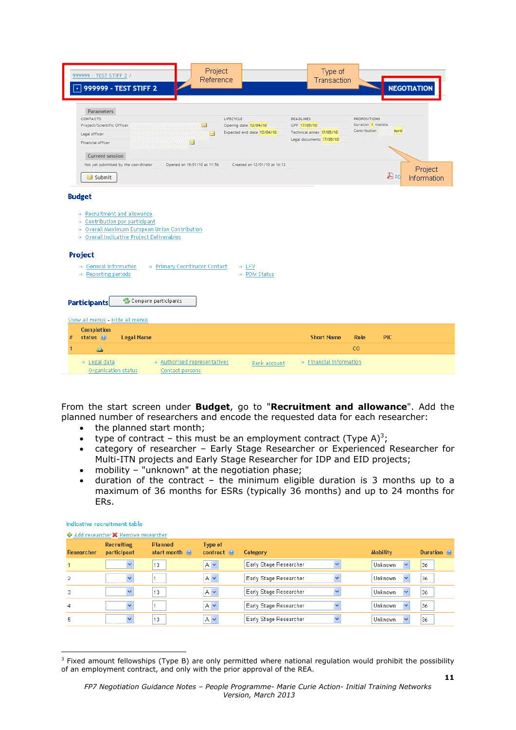| Project<br>999999 - TEST STIFF 2 /<br>Reference<br>999999 - TEST STIFF 2<br>$\cdot$ 1                                                                                                                                             |                              | Type of<br>Transaction   |                     | <b>NEGOTIATION</b>      |
|-----------------------------------------------------------------------------------------------------------------------------------------------------------------------------------------------------------------------------------|------------------------------|--------------------------|---------------------|-------------------------|
| Parameters                                                                                                                                                                                                                        |                              |                          |                     |                         |
| CONTACTS                                                                                                                                                                                                                          | LIFECYCLE                    | DEADLINES                | <b>PROPOSITIONS</b> |                         |
| Project/Scientific Officer<br><b>M</b>                                                                                                                                                                                            | Opening date 12/04/10        | GPF 17/05/10             | Duration 1 months   |                         |
| Legal officer                                                                                                                                                                                                                     | Expected end date 12/04/10   | Technical annex 17/05/10 | Contribution        | <b>euro</b>             |
| Financial officer                                                                                                                                                                                                                 |                              | Legal documents 17/05/10 |                     |                         |
| Current session                                                                                                                                                                                                                   |                              |                          |                     |                         |
| Opened on 18/01/10 at 11:56                                                                                                                                                                                                       | Created on 12/01/10 at 16:13 |                          |                     |                         |
| Not yet submitted by the coordinator                                                                                                                                                                                              |                              |                          |                     | Project                 |
| Submit                                                                                                                                                                                                                            |                              |                          |                     | $E_{P0}$<br>Information |
| Overall Indicative Project Deliverables<br>uş.<br>Project<br>→ Primary Coordinator Contact<br>General information<br>цý.<br>→ Reporting periods<br>Compare participants<br><b>Participants</b><br>Show all menus - Hide all menus | → LFV<br>→ PDM Status        |                          |                     |                         |
|                                                                                                                                                                                                                                   |                              |                          |                     |                         |
|                                                                                                                                                                                                                                   |                              |                          |                     |                         |
| <b>Completion</b><br>status <sup>3</sup><br><b>Legal Name</b><br>#                                                                                                                                                                |                              | <b>Short Name</b>        | Role                | <b>PIC</b>              |
| ◬                                                                                                                                                                                                                                 |                              |                          | CO.                 |                         |

From the start screen under **Budget**, go to "**Recruitment and allowance**". Add the planned number of researchers and encode the requested data for each researcher:

- the planned start month;
- type of contract this must be an employment contract (Type A)<sup>3</sup>;
- category of researcher Early Stage Researcher or Experienced Researcher for Multi-ITN projects and Early Stage Researcher for IDP and EID projects;
- mobility "unknown" at the negotiation phase;
- duration of the contract the minimum eligible duration is 3 months up to a maximum of 36 months for ESRs (typically 36 months) and up to 24 months for ERs.

| ← Add researcher X Remove researcher<br>Researcher | <b>Recruiting</b><br>participant | <b>Planned</b><br>start month $\odot$ | Type of<br>contract <sup>(a)</sup> | Category                                           | <b>Mobility</b> | Duration <sup>(a)</sup> |
|----------------------------------------------------|----------------------------------|---------------------------------------|------------------------------------|----------------------------------------------------|-----------------|-------------------------|
|                                                    | $\checkmark$                     | 13                                    | $A \vee$                           | Early Stage Researcher                             | <b>Unknown</b>  | 36                      |
| 2                                                  | $\checkmark$                     |                                       | $A \vee$                           | Early Stage Researcher                             | <b>Unknown</b>  | 36                      |
|                                                    | $\checkmark$                     | 13                                    | $A \vee$                           | Early Stage Researcher<br>$\overline{\phantom{a}}$ | Unknown         | 36                      |
| 4                                                  | $\checkmark$                     |                                       | $A \vee$                           | Early Stage Researcher                             | Unknown         | 36                      |
| 5                                                  | $\checkmark$                     | 13                                    | $A \vee$                           | Early Stage Researcher                             | <b>Unknown</b>  | 36                      |

Indicative recruitment table

<sup>&</sup>lt;sup>3</sup> Fixed amount fellowships (Type B) are only permitted where national regulation would prohibit the possibility of an employment contract, and only with the prior approval of the REA.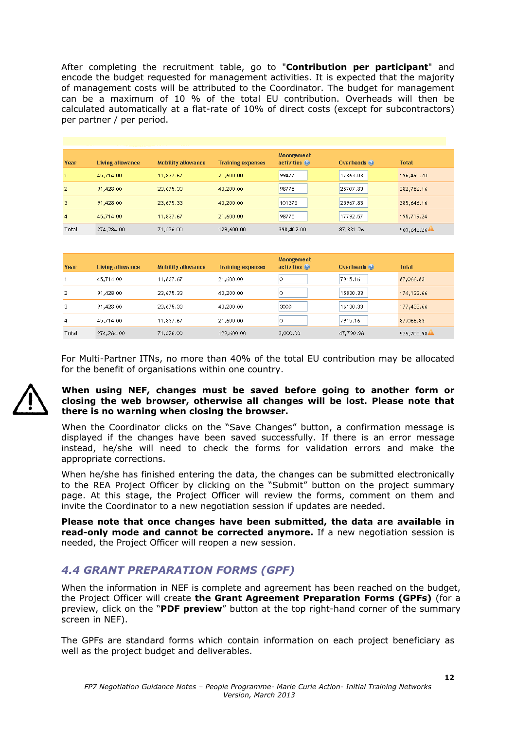After completing the recruitment table, go to "**Contribution per participant**" and encode the budget requested for management activities. It is expected that the majority of management costs will be attributed to the Coordinator. The budget for management can be a maximum of 10 % of the total EU contribution. Overheads will then be calculated automatically at a flat-rate of 10% of direct costs (except for subcontractors) per partner / per period.

| Year           | Living allowance | Mobility allowance | <b>Training expenses</b> | <b>Management</b><br>activities <sup>O</sup> | Overheads <sup>(a)</sup> | <b>Total</b> |
|----------------|------------------|--------------------|--------------------------|----------------------------------------------|--------------------------|--------------|
|                | 45,714.00        | 11,837.67          | 21,600.00                | 99477                                        | 17863.03                 | 196,491.70   |
| $\overline{2}$ | 91,428.00        | 23,675.33          | 43,200.00                | 98775                                        | 25707.83                 | 282,786.16   |
| 3              | 91,428.00        | 23,675.33          | 43,200.00                | 101375                                       | 25967.83                 | 285,646.16   |
| $\overline{4}$ | 45,714.00        | 11,837.67          | 21,600.00                | 98775                                        | 17792.57                 | 195,719.24   |
| Total          | 274,284.00       | 71,026.00          | 129,600.00               | 398,402.00                                   | 87,331.26                | 960,643.26   |

| Year  | Living allowance | Mobility allowance | <b>Training expenses</b> | <b>Management</b><br>activities <sup>(a)</sup> | Overheads (e) | <b>Total</b> |
|-------|------------------|--------------------|--------------------------|------------------------------------------------|---------------|--------------|
|       | 45,714.00        | 11,837.67          | 21,600.00                |                                                | 7915.16       | 87,066.83    |
| 2     | 91,428.00        | 23,675.33          | 43,200.00                |                                                | 15830.33      | 174,133.66   |
| 3     | 91,428.00        | 23,675.33          | 43,200.00                | 3000                                           | 16130.33      | 177,433.66   |
| 4     | 45,714.00        | 11,837.67          | 21,600.00                |                                                | 7915.16       | 87,066.83    |
| Total | 274,284.00       | 71,026.00          | 129,600.00               | 3,000.00                                       | 47,790.98     | 525,700.98   |

For Multi-Partner ITNs, no more than 40% of the total EU contribution may be allocated for the benefit of organisations within one country.



#### **When using NEF, changes must be saved before going to another form or closing the web browser, otherwise all changes will be lost. Please note that there is no warning when closing the browser.**

When the Coordinator clicks on the "Save Changes" button, a confirmation message is displayed if the changes have been saved successfully. If there is an error message instead, he/she will need to check the forms for validation errors and make the appropriate corrections.

When he/she has finished entering the data, the changes can be submitted electronically to the REA Project Officer by clicking on the "Submit" button on the project summary page. At this stage, the Project Officer will review the forms, comment on them and invite the Coordinator to a new negotiation session if updates are needed.

**Please note that once changes have been submitted, the data are available in read-only mode and cannot be corrected anymore.** If a new negotiation session is needed, the Project Officer will reopen a new session.

## *4.4 GRANT PREPARATION FORMS (GPF)*

When the information in NEF is complete and agreement has been reached on the budget, the Project Officer will create **the Grant Agreement Preparation Forms (GPFs)** (for a preview, click on the "**PDF preview**" button at the top right-hand corner of the summary screen in NEF).

The GPFs are standard forms which contain information on each project beneficiary as well as the project budget and deliverables.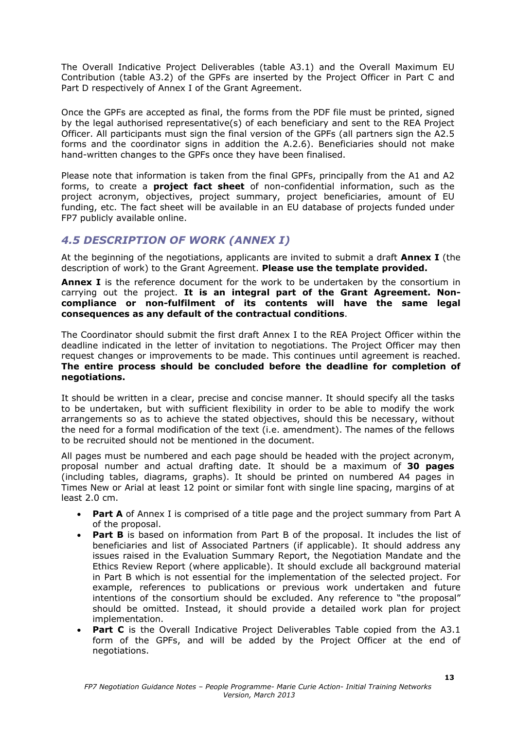The Overall Indicative Project Deliverables (table A3.1) and the Overall Maximum EU Contribution (table A3.2) of the GPFs are inserted by the Project Officer in Part C and Part D respectively of Annex I of the Grant Agreement.

Once the GPFs are accepted as final, the forms from the PDF file must be printed, signed by the legal authorised representative(s) of each beneficiary and sent to the REA Project Officer. All participants must sign the final version of the GPFs (all partners sign the A2.5 forms and the coordinator signs in addition the A.2.6). Beneficiaries should not make hand-written changes to the GPFs once they have been finalised.

Please note that information is taken from the final GPFs, principally from the A1 and A2 forms, to create a **project fact sheet** of non-confidential information, such as the project acronym, objectives, project summary, project beneficiaries, amount of EU funding, etc. The fact sheet will be available in an EU database of projects funded under FP7 publicly available online.

## *4.5 DESCRIPTION OF WORK (ANNEX I)*

At the beginning of the negotiations, applicants are invited to submit a draft **Annex I** (the description of work) to the Grant Agreement. **Please use the template provided.** 

**Annex I** is the reference document for the work to be undertaken by the consortium in carrying out the project. **It is an integral part of the Grant Agreement. Noncompliance or non-fulfilment of its contents will have the same legal consequences as any default of the contractual conditions**.

The Coordinator should submit the first draft Annex I to the REA Project Officer within the deadline indicated in the letter of invitation to negotiations. The Project Officer may then request changes or improvements to be made. This continues until agreement is reached. **The entire process should be concluded before the deadline for completion of negotiations.** 

It should be written in a clear, precise and concise manner. It should specify all the tasks to be undertaken, but with sufficient flexibility in order to be able to modify the work arrangements so as to achieve the stated objectives, should this be necessary, without the need for a formal modification of the text (i.e. amendment). The names of the fellows to be recruited should not be mentioned in the document.

All pages must be numbered and each page should be headed with the project acronym, proposal number and actual drafting date. It should be a maximum of **30 pages** (including tables, diagrams, graphs). It should be printed on numbered A4 pages in Times New or Arial at least 12 point or similar font with single line spacing, margins of at least 2.0 cm.

- **Part A** of Annex I is comprised of a title page and the project summary from Part A of the proposal.
- **Part B** is based on information from Part B of the proposal. It includes the list of beneficiaries and list of Associated Partners (if applicable). It should address any issues raised in the Evaluation Summary Report, the Negotiation Mandate and the Ethics Review Report (where applicable). It should exclude all background material in Part B which is not essential for the implementation of the selected project. For example, references to publications or previous work undertaken and future intentions of the consortium should be excluded. Any reference to "the proposal" should be omitted. Instead, it should provide a detailed work plan for project implementation.
- **Part C** is the Overall Indicative Project Deliverables Table copied from the A3.1 form of the GPFs, and will be added by the Project Officer at the end of negotiations.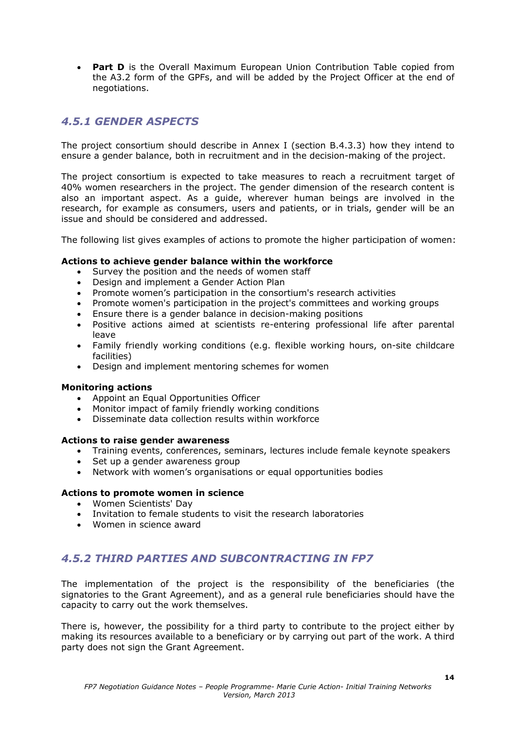• **Part D** is the Overall Maximum European Union Contribution Table copied from the A3.2 form of the GPFs, and will be added by the Project Officer at the end of negotiations.

## *4.5.1 GENDER ASPECTS*

The project consortium should describe in Annex I (section B.4.3.3) how they intend to ensure a gender balance, both in recruitment and in the decision-making of the project.

The project consortium is expected to take measures to reach a recruitment target of 40% women researchers in the project. The gender dimension of the research content is also an important aspect. As a guide, wherever human beings are involved in the research, for example as consumers, users and patients, or in trials, gender will be an issue and should be considered and addressed.

The following list gives examples of actions to promote the higher participation of women:

#### **Actions to achieve gender balance within the workforce**

- Survey the position and the needs of women staff
- Design and implement a Gender Action Plan
- Promote women's participation in the consortium's research activities
- Promote women's participation in the project's committees and working groups
- Ensure there is a gender balance in decision-making positions
- Positive actions aimed at scientists re-entering professional life after parental leave
- Family friendly working conditions (e.g. flexible working hours, on-site childcare facilities)
- Design and implement mentoring schemes for women

#### **Monitoring actions**

- Appoint an Equal Opportunities Officer
- Monitor impact of family friendly working conditions
- Disseminate data collection results within workforce

#### **Actions to raise gender awareness**

- Training events, conferences, seminars, lectures include female keynote speakers
- Set up a gender awareness group
- Network with women's organisations or equal opportunities bodies

#### **Actions to promote women in science**

- Women Scientists' Day
- Invitation to female students to visit the research laboratories
- Women in science award

## *4.5.2 THIRD PARTIES AND SUBCONTRACTING IN FP7*

The implementation of the project is the responsibility of the beneficiaries (the signatories to the Grant Agreement), and as a general rule beneficiaries should have the capacity to carry out the work themselves.

There is, however, the possibility for a third party to contribute to the project either by making its resources available to a beneficiary or by carrying out part of the work. A third party does not sign the Grant Agreement.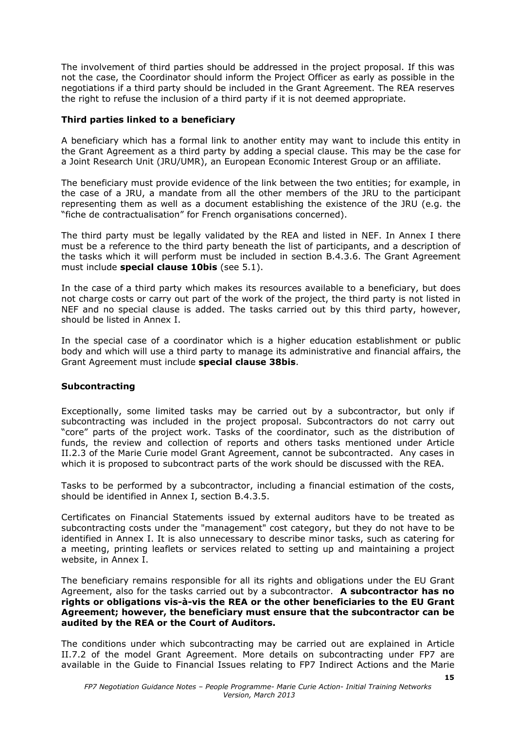The involvement of third parties should be addressed in the project proposal. If this was not the case, the Coordinator should inform the Project Officer as early as possible in the negotiations if a third party should be included in the Grant Agreement. The REA reserves the right to refuse the inclusion of a third party if it is not deemed appropriate.

#### **Third parties linked to a beneficiary**

A beneficiary which has a formal link to another entity may want to include this entity in the Grant Agreement as a third party by adding a special clause. This may be the case for a Joint Research Unit (JRU/UMR), an European Economic Interest Group or an affiliate.

The beneficiary must provide evidence of the link between the two entities; for example, in the case of a JRU, a mandate from all the other members of the JRU to the participant representing them as well as a document establishing the existence of the JRU (e.g. the "fiche de contractualisation" for French organisations concerned).

The third party must be legally validated by the REA and listed in NEF. In Annex I there must be a reference to the third party beneath the list of participants, and a description of the tasks which it will perform must be included in section B.4.3.6. The Grant Agreement must include **special clause 10bis** (see 5.1).

In the case of a third party which makes its resources available to a beneficiary, but does not charge costs or carry out part of the work of the project, the third party is not listed in NEF and no special clause is added. The tasks carried out by this third party, however, should be listed in Annex I.

In the special case of a coordinator which is a higher education establishment or public body and which will use a third party to manage its administrative and financial affairs, the Grant Agreement must include **special clause 38bis**.

#### **Subcontracting**

Exceptionally, some limited tasks may be carried out by a subcontractor, but only if subcontracting was included in the project proposal. Subcontractors do not carry out "core" parts of the project work. Tasks of the coordinator, such as the distribution of funds, the review and collection of reports and others tasks mentioned under Article II.2.3 of the Marie Curie model Grant Agreement, cannot be subcontracted. Any cases in which it is proposed to subcontract parts of the work should be discussed with the REA.

Tasks to be performed by a subcontractor, including a financial estimation of the costs, should be identified in Annex I, section B.4.3.5.

Certificates on Financial Statements issued by external auditors have to be treated as subcontracting costs under the "management" cost category, but they do not have to be identified in Annex I. It is also unnecessary to describe minor tasks, such as catering for a meeting, printing leaflets or services related to setting up and maintaining a project website, in Annex I.

The beneficiary remains responsible for all its rights and obligations under the EU Grant Agreement, also for the tasks carried out by a subcontractor. **A subcontractor has no rights or obligations vis-à-vis the REA or the other beneficiaries to the EU Grant Agreement; however, the beneficiary must ensure that the subcontractor can be audited by the REA or the Court of Auditors.**

The conditions under which subcontracting may be carried out are explained in Article II.7.2 of the model Grant Agreement. More details on subcontracting under FP7 are available in the Guide to Financial Issues relating to FP7 Indirect Actions and the Marie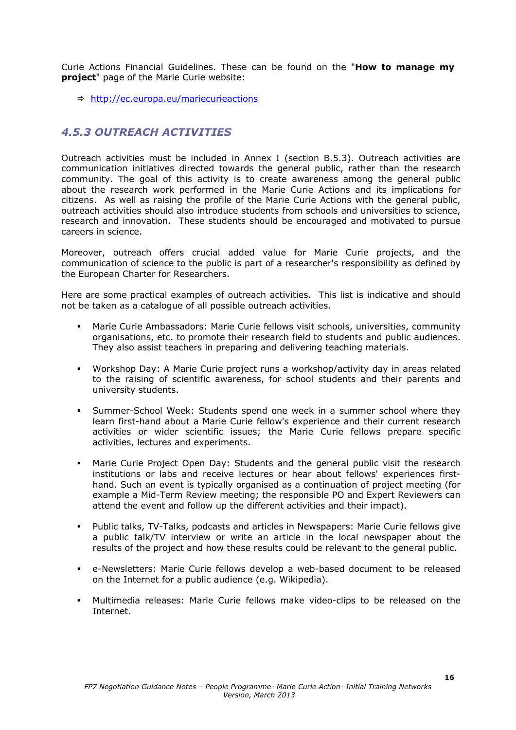Curie Actions Financial Guidelines. These can be found on the "**How to manage my project**" page of the Marie Curie website:

 $\Rightarrow$  http://ec.europa.eu/mariecurieactions

## *4.5.3 OUTREACH ACTIVITIES*

Outreach activities must be included in Annex I (section B.5.3). Outreach activities are communication initiatives directed towards the general public, rather than the research community. The goal of this activity is to create awareness among the general public about the research work performed in the Marie Curie Actions and its implications for citizens. As well as raising the profile of the Marie Curie Actions with the general public, outreach activities should also introduce students from schools and universities to science, research and innovation. These students should be encouraged and motivated to pursue careers in science.

Moreover, outreach offers crucial added value for Marie Curie projects, and the communication of science to the public is part of a researcher's responsibility as defined by the European Charter for Researchers.

Here are some practical examples of outreach activities. This list is indicative and should not be taken as a catalogue of all possible outreach activities.

- Marie Curie Ambassadors: Marie Curie fellows visit schools, universities, community organisations, etc. to promote their research field to students and public audiences. They also assist teachers in preparing and delivering teaching materials.
- Workshop Day: A Marie Curie project runs a workshop/activity day in areas related to the raising of scientific awareness, for school students and their parents and university students.
- Summer-School Week: Students spend one week in a summer school where they learn first-hand about a Marie Curie fellow's experience and their current research activities or wider scientific issues; the Marie Curie fellows prepare specific activities, lectures and experiments.
- Marie Curie Project Open Day: Students and the general public visit the research institutions or labs and receive lectures or hear about fellows' experiences firsthand. Such an event is typically organised as a continuation of project meeting (for example a Mid-Term Review meeting; the responsible PO and Expert Reviewers can attend the event and follow up the different activities and their impact).
- Public talks, TV-Talks, podcasts and articles in Newspapers: Marie Curie fellows give a public talk/TV interview or write an article in the local newspaper about the results of the project and how these results could be relevant to the general public.
- e-Newsletters: Marie Curie fellows develop a web-based document to be released on the Internet for a public audience (e.g. Wikipedia).
- Multimedia releases: Marie Curie fellows make video-clips to be released on the Internet.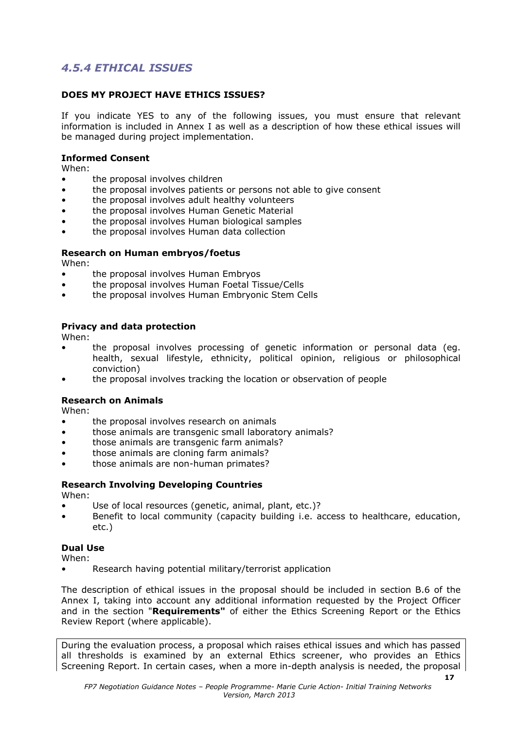## *4.5.4 ETHICAL ISSUES*

#### **DOES MY PROJECT HAVE ETHICS ISSUES?**

If you indicate YES to any of the following issues, you must ensure that relevant information is included in Annex I as well as a description of how these ethical issues will be managed during project implementation.

#### **Informed Consent**

When:

- the proposal involves children
- the proposal involves patients or persons not able to give consent
- the proposal involves adult healthy volunteers
- the proposal involves Human Genetic Material
- the proposal involves Human biological samples
- the proposal involves Human data collection

#### **Research on Human embryos/foetus**

When:

- the proposal involves Human Embryos
- the proposal involves Human Foetal Tissue/Cells
- the proposal involves Human Embryonic Stem Cells

#### **Privacy and data protection**

When:

- the proposal involves processing of genetic information or personal data (eg. health, sexual lifestyle, ethnicity, political opinion, religious or philosophical conviction)
- the proposal involves tracking the location or observation of people

#### **Research on Animals**

When:

- the proposal involves research on animals
- those animals are transgenic small laboratory animals?
- those animals are transgenic farm animals?
- those animals are cloning farm animals?
- those animals are non-human primates?

## **Research Involving Developing Countries**

When:

- Use of local resources (genetic, animal, plant, etc.)?
- Benefit to local community (capacity building i.e. access to healthcare, education, etc.)

#### **Dual Use**

When:

• Research having potential military/terrorist application

The description of ethical issues in the proposal should be included in section B.6 of the Annex I, taking into account any additional information requested by the Project Officer and in the section "**Requirements"** of either the Ethics Screening Report or the Ethics Review Report (where applicable).

During the evaluation process, a proposal which raises ethical issues and which has passed all thresholds is examined by an external Ethics screener, who provides an Ethics Screening Report. In certain cases, when a more in-depth analysis is needed, the proposal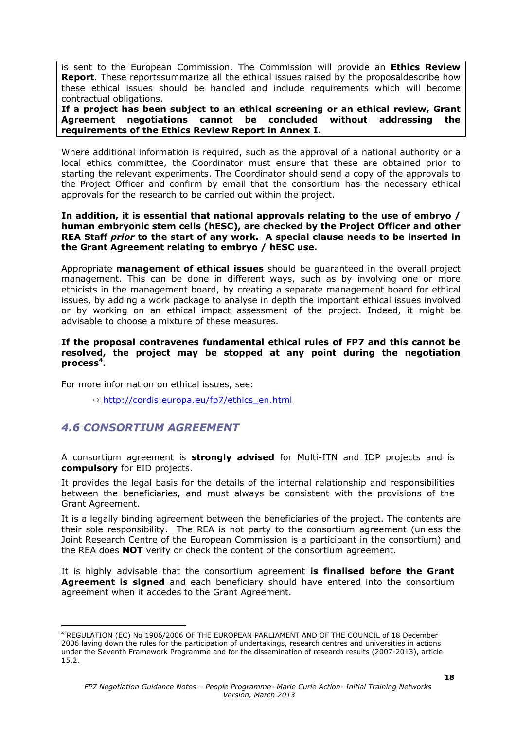is sent to the European Commission. The Commission will provide an **Ethics Review Report**. These reportssummarize all the ethical issues raised by the proposaldescribe how these ethical issues should be handled and include requirements which will become contractual obligations.

**If a project has been subject to an ethical screening or an ethical review, Grant Agreement negotiations cannot be concluded without addressing the requirements of the Ethics Review Report in Annex I.** 

Where additional information is required, such as the approval of a national authority or a local ethics committee, the Coordinator must ensure that these are obtained prior to starting the relevant experiments. The Coordinator should send a copy of the approvals to the Project Officer and confirm by email that the consortium has the necessary ethical approvals for the research to be carried out within the project.

#### **In addition, it is essential that national approvals relating to the use of embryo / human embryonic stem cells (hESC), are checked by the Project Officer and other REA Staff** *prior* **to the start of any work. A special clause needs to be inserted in the Grant Agreement relating to embryo / hESC use.**

Appropriate **management of ethical issues** should be guaranteed in the overall project management. This can be done in different ways, such as by involving one or more ethicists in the management board, by creating a separate management board for ethical issues, by adding a work package to analyse in depth the important ethical issues involved or by working on an ethical impact assessment of the project. Indeed, it might be advisable to choose a mixture of these measures.

#### **If the proposal contravenes fundamental ethical rules of FP7 and this cannot be resolved, the project may be stopped at any point during the negotiation**  process<sup>4</sup>.

For more information on ethical issues, see:

Ö http://cordis.europa.eu/fp7/ethics\_en.html

## *4.6 CONSORTIUM AGREEMENT*

1

A consortium agreement is **strongly advised** for Multi-ITN and IDP projects and is **compulsory** for EID projects.

It provides the legal basis for the details of the internal relationship and responsibilities between the beneficiaries, and must always be consistent with the provisions of the Grant Agreement.

It is a legally binding agreement between the beneficiaries of the project. The contents are their sole responsibility. The REA is not party to the consortium agreement (unless the Joint Research Centre of the European Commission is a participant in the consortium) and the REA does **NOT** verify or check the content of the consortium agreement.

It is highly advisable that the consortium agreement **is finalised before the Grant Agreement is signed** and each beneficiary should have entered into the consortium agreement when it accedes to the Grant Agreement.

<sup>4</sup> REGULATION (EC) No 1906/2006 OF THE EUROPEAN PARLIAMENT AND OF THE COUNCIL of 18 December 2006 laying down the rules for the participation of undertakings, research centres and universities in actions under the Seventh Framework Programme and for the dissemination of research results (2007-2013), article 15.2.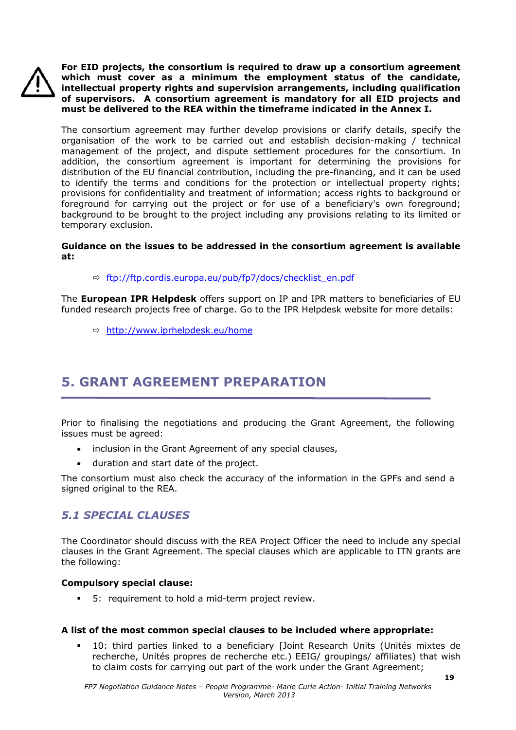

**For EID projects, the consortium is required to draw up a consortium agreement which must cover as a minimum the employment status of the candidate, intellectual property rights and supervision arrangements, including qualification of supervisors. A consortium agreement is mandatory for all EID projects and must be delivered to the REA within the timeframe indicated in the Annex I.** 

The consortium agreement may further develop provisions or clarify details, specify the organisation of the work to be carried out and establish decision-making / technical management of the project, and dispute settlement procedures for the consortium. In addition, the consortium agreement is important for determining the provisions for distribution of the EU financial contribution, including the pre-financing, and it can be used to identify the terms and conditions for the protection or intellectual property rights; provisions for confidentiality and treatment of information; access rights to background or foreground for carrying out the project or for use of a beneficiary's own foreground; background to be brought to the project including any provisions relating to its limited or temporary exclusion.

#### **Guidance on the issues to be addressed in the consortium agreement is available at:**

Ö ftp://ftp.cordis.europa.eu/pub/fp7/docs/checklist\_en.pdf

The **European IPR Helpdesk** offers support on IP and IPR matters to beneficiaries of EU funded research projects free of charge. Go to the IPR Helpdesk website for more details:

Ö http://www.iprhelpdesk.eu/home

## **5. GRANT AGREEMENT PREPARATION**

Prior to finalising the negotiations and producing the Grant Agreement, the following issues must be agreed:

- inclusion in the Grant Agreement of any special clauses,
- duration and start date of the project.

The consortium must also check the accuracy of the information in the GPFs and send a signed original to the REA.

## *5.1 SPECIAL CLAUSES*

The Coordinator should discuss with the REA Project Officer the need to include any special clauses in the Grant Agreement. The special clauses which are applicable to ITN grants are the following:

#### **Compulsory special clause:**

5: requirement to hold a mid-term project review.

#### **A list of the most common special clauses to be included where appropriate:**

 10: third parties linked to a beneficiary [Joint Research Units (Unités mixtes de recherche, Unités propres de recherche etc.) EEIG/ groupings/ affiliates) that wish to claim costs for carrying out part of the work under the Grant Agreement;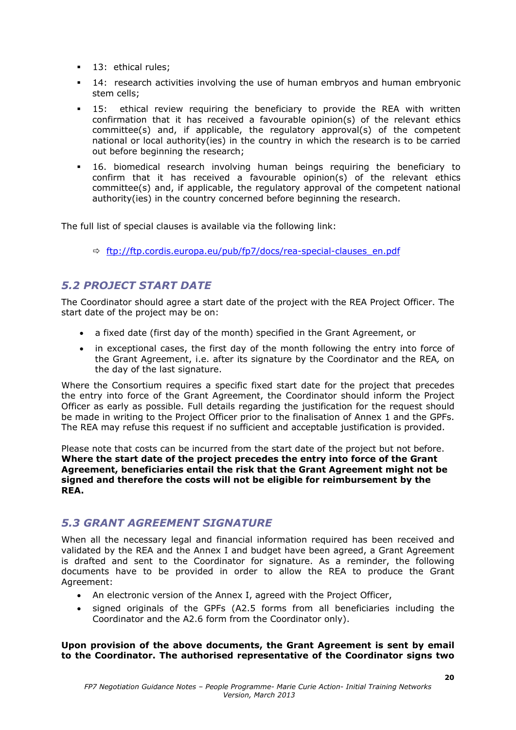- **13: ethical rules;**
- 14: research activities involving the use of human embryos and human embryonic stem cells;
- **-** 15: ethical review requiring the beneficiary to provide the REA with written confirmation that it has received a favourable opinion(s) of the relevant ethics committee(s) and, if applicable, the regulatory approval(s) of the competent national or local authority(ies) in the country in which the research is to be carried out before beginning the research;
- 16. biomedical research involving human beings requiring the beneficiary to confirm that it has received a favourable opinion(s) of the relevant ethics committee(s) and, if applicable, the regulatory approval of the competent national authority(ies) in the country concerned before beginning the research.

The full list of special clauses is available via the following link:

Ö ftp://ftp.cordis.europa.eu/pub/fp7/docs/rea-special-clauses\_en.pdf

## *5.2 PROJECT START DATE*

The Coordinator should agree a start date of the project with the REA Project Officer. The start date of the project may be on:

- a fixed date (first day of the month) specified in the Grant Agreement, or
- in exceptional cases, the first day of the month following the entry into force of the Grant Agreement, i.e. after its signature by the Coordinator and the REA*,* on the day of the last signature.

Where the Consortium requires a specific fixed start date for the project that precedes the entry into force of the Grant Agreement, the Coordinator should inform the Project Officer as early as possible. Full details regarding the justification for the request should be made in writing to the Project Officer prior to the finalisation of Annex 1 and the GPFs. The REA may refuse this request if no sufficient and acceptable justification is provided.

Please note that costs can be incurred from the start date of the project but not before. **Where the start date of the project precedes the entry into force of the Grant Agreement, beneficiaries entail the risk that the Grant Agreement might not be signed and therefore the costs will not be eligible for reimbursement by the REA.**

## *5.3 GRANT AGREEMENT SIGNATURE*

When all the necessary legal and financial information required has been received and validated by the REA and the Annex I and budget have been agreed, a Grant Agreement is drafted and sent to the Coordinator for signature. As a reminder, the following documents have to be provided in order to allow the REA to produce the Grant Agreement:

- An electronic version of the Annex I, agreed with the Project Officer,
- signed originals of the GPFs (A2.5 forms from all beneficiaries including the Coordinator and the A2.6 form from the Coordinator only).

**Upon provision of the above documents, the Grant Agreement is sent by email to the Coordinator. The authorised representative of the Coordinator signs two**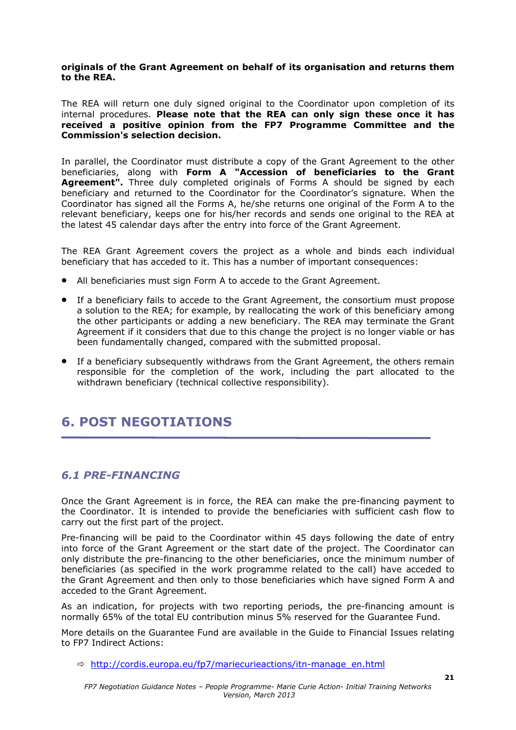#### **originals of the Grant Agreement on behalf of its organisation and returns them to the REA.**

The REA will return one duly signed original to the Coordinator upon completion of its internal procedures. **Please note that the REA can only sign these once it has received a positive opinion from the FP7 Programme Committee and the Commission's selection decision.** 

In parallel, the Coordinator must distribute a copy of the Grant Agreement to the other beneficiaries, along with **Form A "Accession of beneficiaries to the Grant Agreement".** Three duly completed originals of Forms A should be signed by each beneficiary and returned to the Coordinator for the Coordinator's signature. When the Coordinator has signed all the Forms A, he/she returns one original of the Form A to the relevant beneficiary, keeps one for his/her records and sends one original to the REA at the latest 45 calendar days after the entry into force of the Grant Agreement.

The REA Grant Agreement covers the project as a whole and binds each individual beneficiary that has acceded to it. This has a number of important consequences:

- All beneficiaries must sign Form A to accede to the Grant Agreement.
- If a beneficiary fails to accede to the Grant Agreement, the consortium must propose a solution to the REA; for example, by reallocating the work of this beneficiary among the other participants or adding a new beneficiary. The REA may terminate the Grant Agreement if it considers that due to this change the project is no longer viable or has been fundamentally changed, compared with the submitted proposal.
- If a beneficiary subsequently withdraws from the Grant Agreement, the others remain responsible for the completion of the work, including the part allocated to the withdrawn beneficiary (technical collective responsibility).

## **6. POST NEGOTIATIONS**

### *6.1 PRE-FINANCING*

Once the Grant Agreement is in force, the REA can make the pre-financing payment to the Coordinator. It is intended to provide the beneficiaries with sufficient cash flow to carry out the first part of the project.

Pre-financing will be paid to the Coordinator within 45 days following the date of entry into force of the Grant Agreement or the start date of the project. The Coordinator can only distribute the pre-financing to the other beneficiaries, once the minimum number of beneficiaries (as specified in the work programme related to the call) have acceded to the Grant Agreement and then only to those beneficiaries which have signed Form A and acceded to the Grant Agreement.

As an indication, for projects with two reporting periods, the pre-financing amount is normally 65% of the total EU contribution minus 5% reserved for the Guarantee Fund.

More details on the Guarantee Fund are available in the Guide to Financial Issues relating to FP7 Indirect Actions:

 $\Rightarrow$  http://cordis.europa.eu/fp7/mariecurieactions/itn-manage\_en.html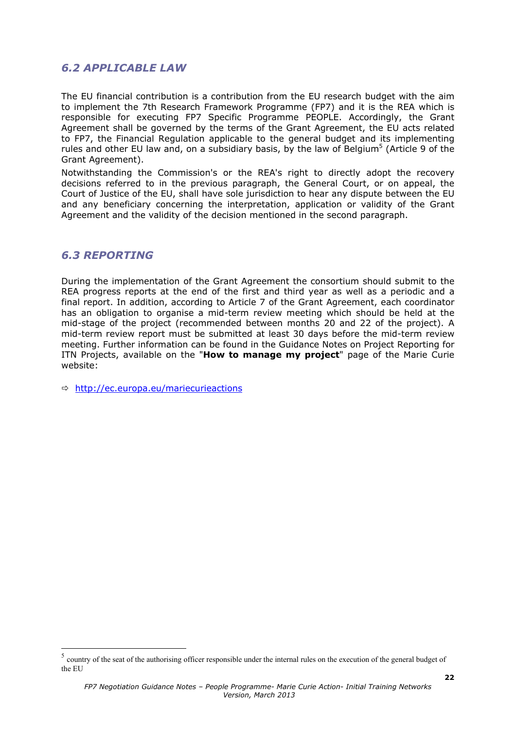## *6.2 APPLICABLE LAW*

The EU financial contribution is a contribution from the EU research budget with the aim to implement the 7th Research Framework Programme (FP7) and it is the REA which is responsible for executing FP7 Specific Programme PEOPLE. Accordingly, the Grant Agreement shall be governed by the terms of the Grant Agreement, the EU acts related to FP7, the Financial Regulation applicable to the general budget and its implementing rules and other EU law and, on a subsidiary basis, by the law of Belgium<sup>5</sup> (Article 9 of the Grant Agreement).

Notwithstanding the Commission's or the REA's right to directly adopt the recovery decisions referred to in the previous paragraph, the General Court, or on appeal, the Court of Justice of the EU, shall have sole jurisdiction to hear any dispute between the EU and any beneficiary concerning the interpretation, application or validity of the Grant Agreement and the validity of the decision mentioned in the second paragraph.

### *6.3 REPORTING*

1

During the implementation of the Grant Agreement the consortium should submit to the REA progress reports at the end of the first and third year as well as a periodic and a final report. In addition, according to Article 7 of the Grant Agreement, each coordinator has an obligation to organise a mid-term review meeting which should be held at the mid-stage of the project (recommended between months 20 and 22 of the project). A mid-term review report must be submitted at least 30 days before the mid-term review meeting. Further information can be found in the Guidance Notes on Project Reporting for ITN Projects, available on the "**How to manage my project**" page of the Marie Curie website:

 $\Rightarrow$  http://ec.europa.eu/mariecurieactions

<sup>&</sup>lt;sup>5</sup> country of the seat of the authorising officer responsible under the internal rules on the execution of the general budget of the EU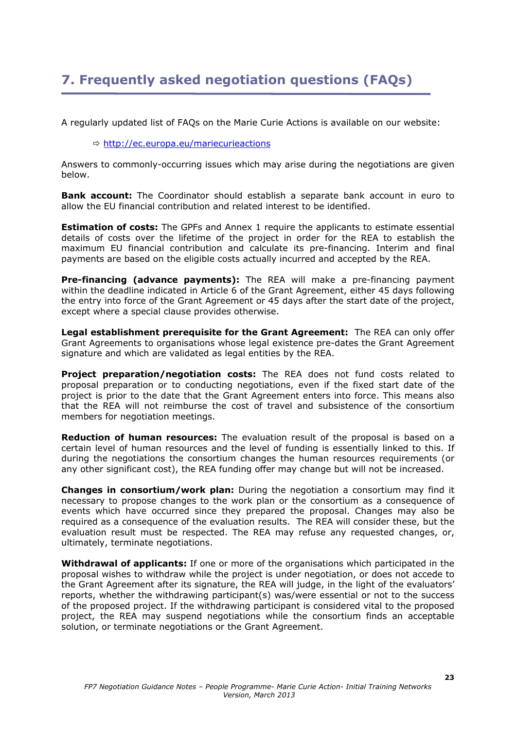## **7. Frequently asked negotiation questions (FAQs)**

A regularly updated list of FAQs on the Marie Curie Actions is available on our website:

Ö http://ec.europa.eu/mariecurieactions

Answers to commonly-occurring issues which may arise during the negotiations are given below.

**Bank account:** The Coordinator should establish a separate bank account in euro to allow the EU financial contribution and related interest to be identified.

**Estimation of costs:** The GPFs and Annex 1 require the applicants to estimate essential details of costs over the lifetime of the project in order for the REA to establish the maximum EU financial contribution and calculate its pre-financing. Interim and final payments are based on the eligible costs actually incurred and accepted by the REA.

**Pre-financing (advance payments):** The REA will make a pre-financing payment within the deadline indicated in Article 6 of the Grant Agreement, either 45 days following the entry into force of the Grant Agreement or 45 days after the start date of the project, except where a special clause provides otherwise.

**Legal establishment prerequisite for the Grant Agreement:** The REA can only offer Grant Agreements to organisations whose legal existence pre-dates the Grant Agreement signature and which are validated as legal entities by the REA.

**Project preparation/negotiation costs:** The REA does not fund costs related to proposal preparation or to conducting negotiations, even if the fixed start date of the project is prior to the date that the Grant Agreement enters into force. This means also that the REA will not reimburse the cost of travel and subsistence of the consortium members for negotiation meetings.

**Reduction of human resources:** The evaluation result of the proposal is based on a certain level of human resources and the level of funding is essentially linked to this. If during the negotiations the consortium changes the human resources requirements (or any other significant cost), the REA funding offer may change but will not be increased.

**Changes in consortium/work plan:** During the negotiation a consortium may find it necessary to propose changes to the work plan or the consortium as a consequence of events which have occurred since they prepared the proposal. Changes may also be required as a consequence of the evaluation results. The REA will consider these, but the evaluation result must be respected. The REA may refuse any requested changes, or, ultimately, terminate negotiations.

**Withdrawal of applicants:** If one or more of the organisations which participated in the proposal wishes to withdraw while the project is under negotiation, or does not accede to the Grant Agreement after its signature, the REA will judge, in the light of the evaluators' reports, whether the withdrawing participant(s) was/were essential or not to the success of the proposed project. If the withdrawing participant is considered vital to the proposed project, the REA may suspend negotiations while the consortium finds an acceptable solution, or terminate negotiations or the Grant Agreement.